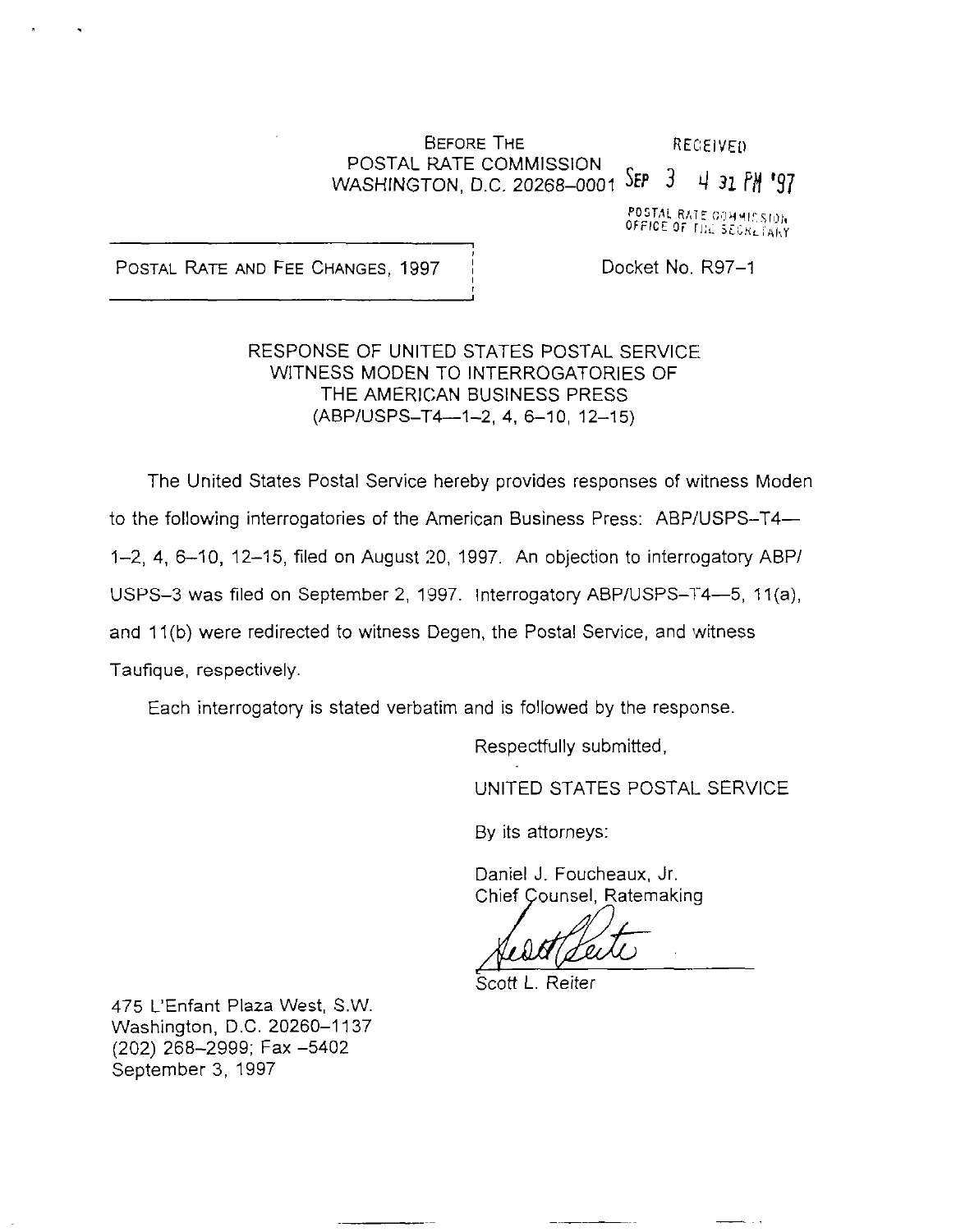#### **BEFORE THE** RECEIVED POSTAL RATE COMMISSION WASHINGTON, D.C. 20268-0001 SEP 3 4 31 PM '97

POSTAL RATE COMMISSION<br>OFFICE OF THE SEGRETARY

POSTAL RATE AND FEE CHANGES, 1997 | Docket No. R97-1

. .

## RESPONSE OF UNITED STATES POSTAL SERVICE WITNESS MODEN TO INTERROGATORIES OF THE AMERICAN BUSINESS PRESS  $(ABP/USPS-T4-1-2, 4, 6-10, 12-15)$

The United States Postal Service hereby provides responses of witness Moden to the following interrogatories of the American Business Press: ABP/USPS-T4-1-2, 4, 6-10, 12-15, filed on August 20, 1997. An objection to interrogatory ABP/ USPS-3 was filed on September 2, 1997. Interrogatory ABP/USPS-T4--5, 11(a), and 11(b) were redirected to witness Degen, the Postal Service, and witness Taufique, respectively,

Each interrogatory is stated verbatim and is followed by the response

Respectfully submitted,

UNITED STATES POSTAL SERVICE

By its attorneys:

Daniel J. Foucheaux, Jr. Chief Çounsel, Ratemaking

Scott L. Reiter

475 L'Enfant Plaza West, S.W. Washington, D.C. 20260-1137 (202) 268-2999; Fax -5402 September 3, 1997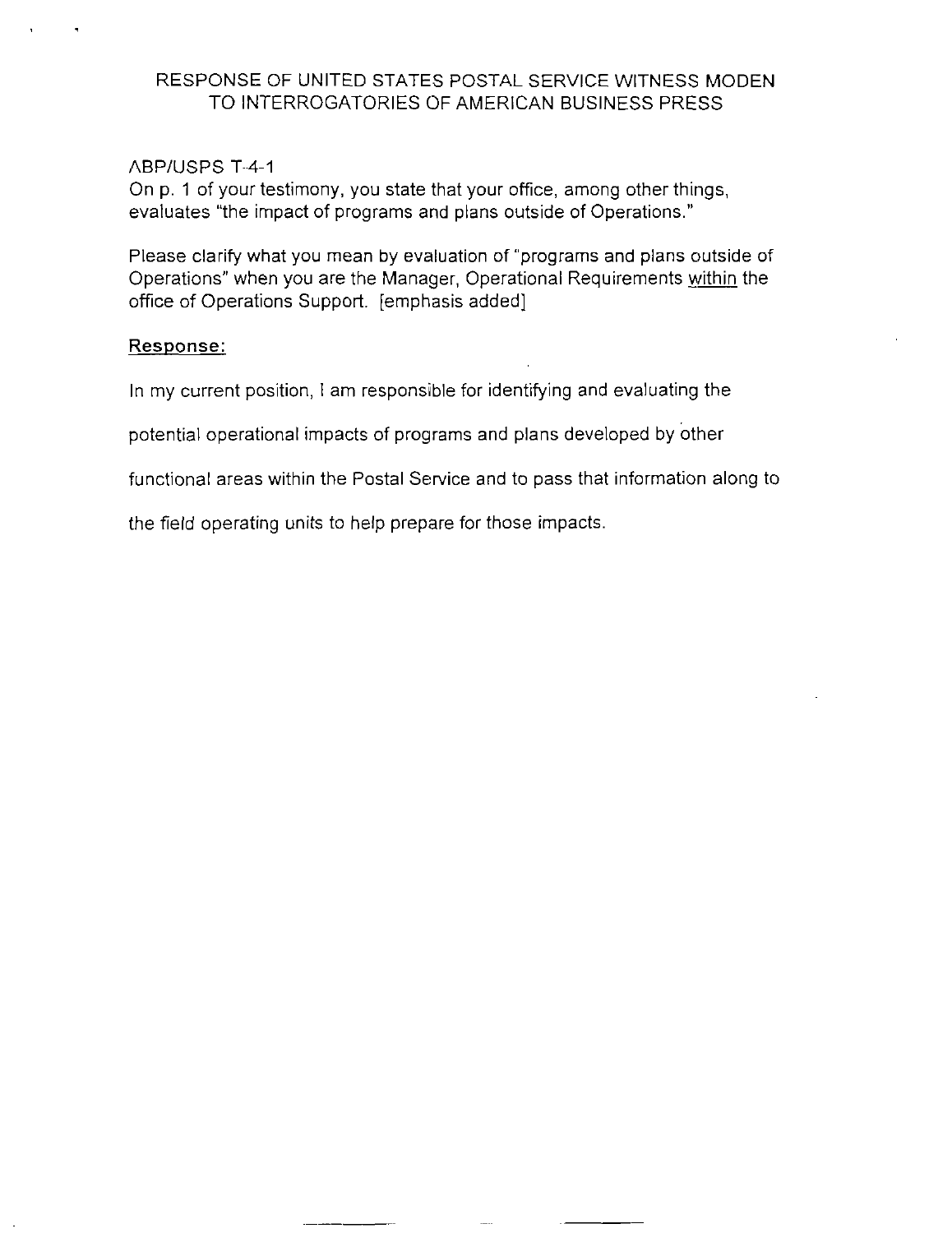#### ABPIUSPS-T-4-1

On p. 1 of your testimony, you state that your office, among other things, evaluates "the impact of programs and plans outside of Operations."

Please clarify what you mean by evaluation of "programs and plans outside of Operations" when you are the Manager, Operational Requirements within the office of Operations Support. [emphasis added]

#### Response:

In my current position, I am responsible for identifying and evaluating the

potential operational impacts of programs and plans developed by other

functional areas within the Postal Service and to pass that information along to

the field operating units to help prepare for those impacts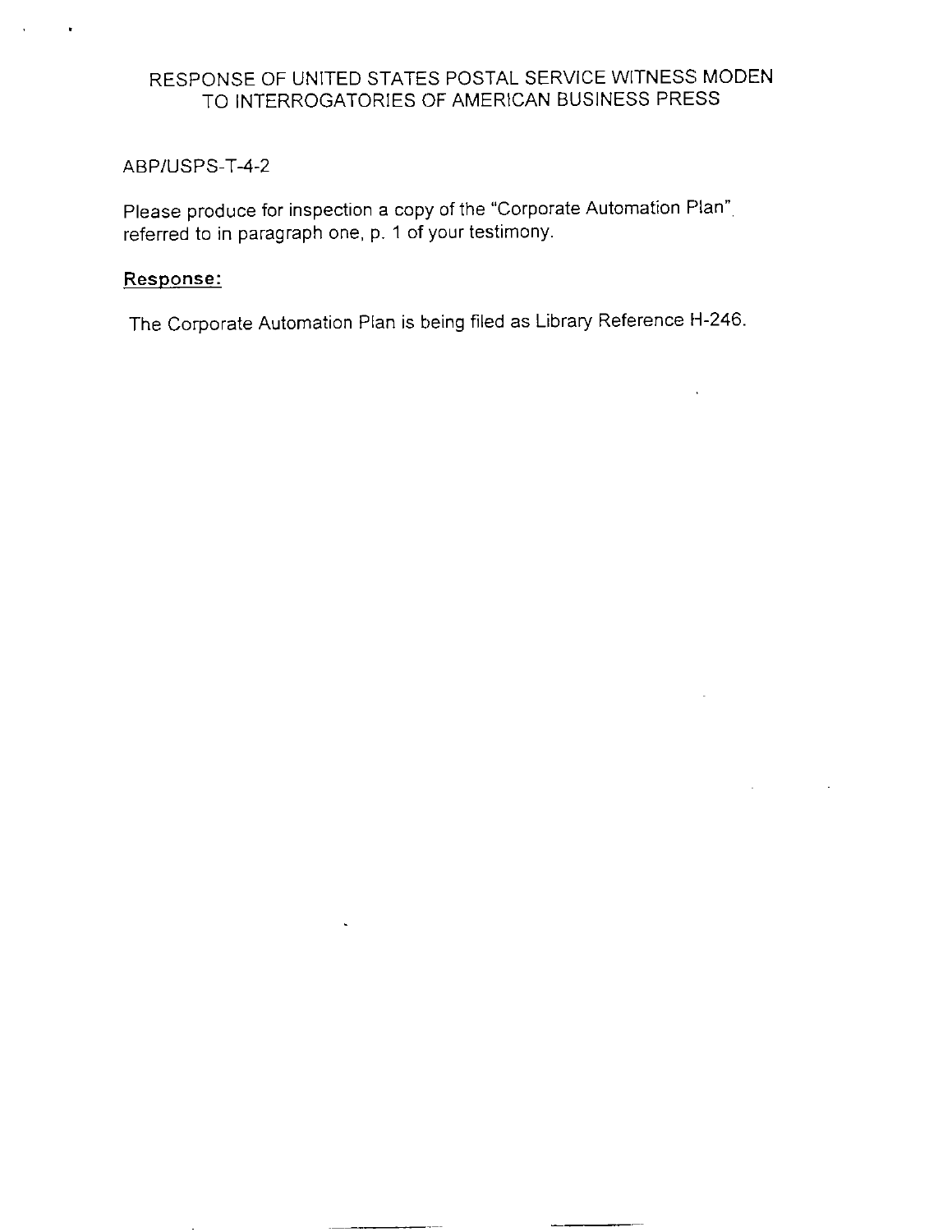#### ABPIUSPS-T-4-2

Please produce for inspection a copy of the "Corporate Automation Plan", referred to in paragraph one, p. 1 of your testimony.

#### Response:

The Corporate Automation Plan is being filed as Library Reference H-246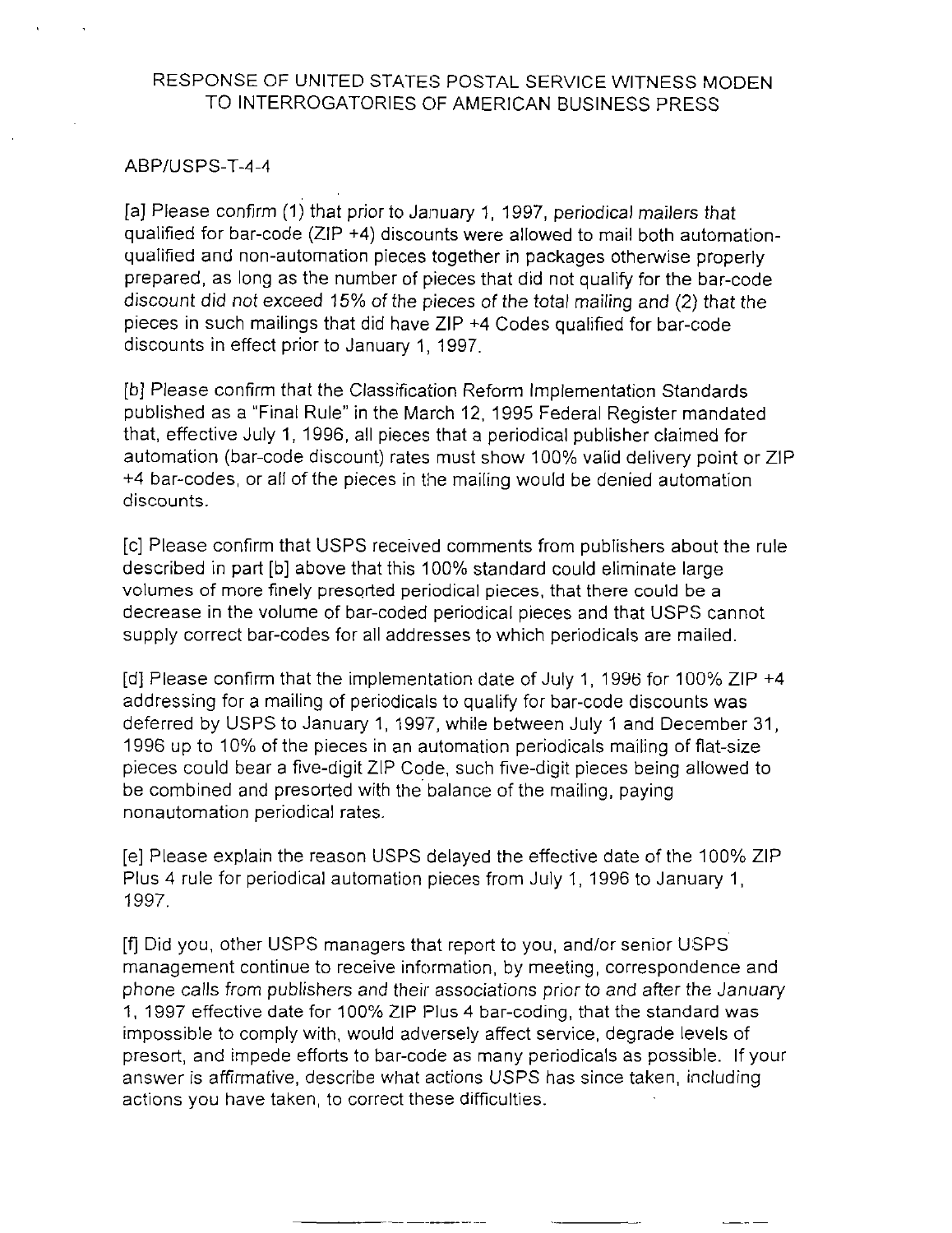#### ABPIUSPS-T-4-4

[a] Please confirm (1) that prior to January 1, 1997, periodical mailers that qualified for bar-code (ZIP +4) discounts were allowed to mail both automationqualified and non-automation pieces together in packages otherwise properly prepared, as long as the number of pieces that did not qualify for the bar-code discount did not exceed 15% of the pieces of the total mailing and (2) that the pieces in such mailings that did have  $ZIP +4$  Codes qualified for bar-code discounts in effect prior to January 1, 1997.

[b] Please confirm that the Classification Reform Implementation Standards published as a "Final Rule" in the March 12, 1995 Federal Register mandated that, effective July 1, 1996, all pieces that a periodical publisher claimed for automation (bar-code discount) rates must show 100% valid delivery point or ZIP +4 bar-codes, or all of the pieces in the mailing would be denied automation discounts.

[c] Please confirm that USPS received comments from publishers about the rule described in part [b] above that this 100% standard could eliminate large volumes of more finely presorted periodical pieces, that there could be a decrease in the volume of bar-coded periodical pieces and that USPS cannot supply correct bar-codes for all addresses to which periodicals are mailed.

[d] Please confirm that the implementation date of July 1, 1996 for 100% ZIP +4 addressing for a mailing of periodicals to qualify for bar-code discounts was deferred by USPS to January 1, 1997, while between July 1 and December 31, 1996 up to 10% of the pieces in an automation periodicals mailing of flat-size pieces could bear a five-digit ZIP Code, such five-digit pieces being allowed to be combined and presorted with the balance of the mailing, paying nonautomation periodical rates.

[e] Please explain the reason USPS delayed the effective date of the 100% ZIP Plus 4 rule for periodical automation pieces from July 1, 1996 to January 1, 1997.

[fj Did you, other USPS managers that report to you, and/or senior USPS management continue to receive information, by meeting, correspondence and phone calls from publishers and their associations prior to and after the January 1, 1997 effective date for 100% ZIP Plus 4 bar-coding, that the standard was impossible to comply with, would adversely affect service, degrade levels of presort, and impede efforts to bar-code as many periodicals as possible. If your answer is affirmative, describe what actions USPS has since taken, including actions you have taken, to correct these difficulties.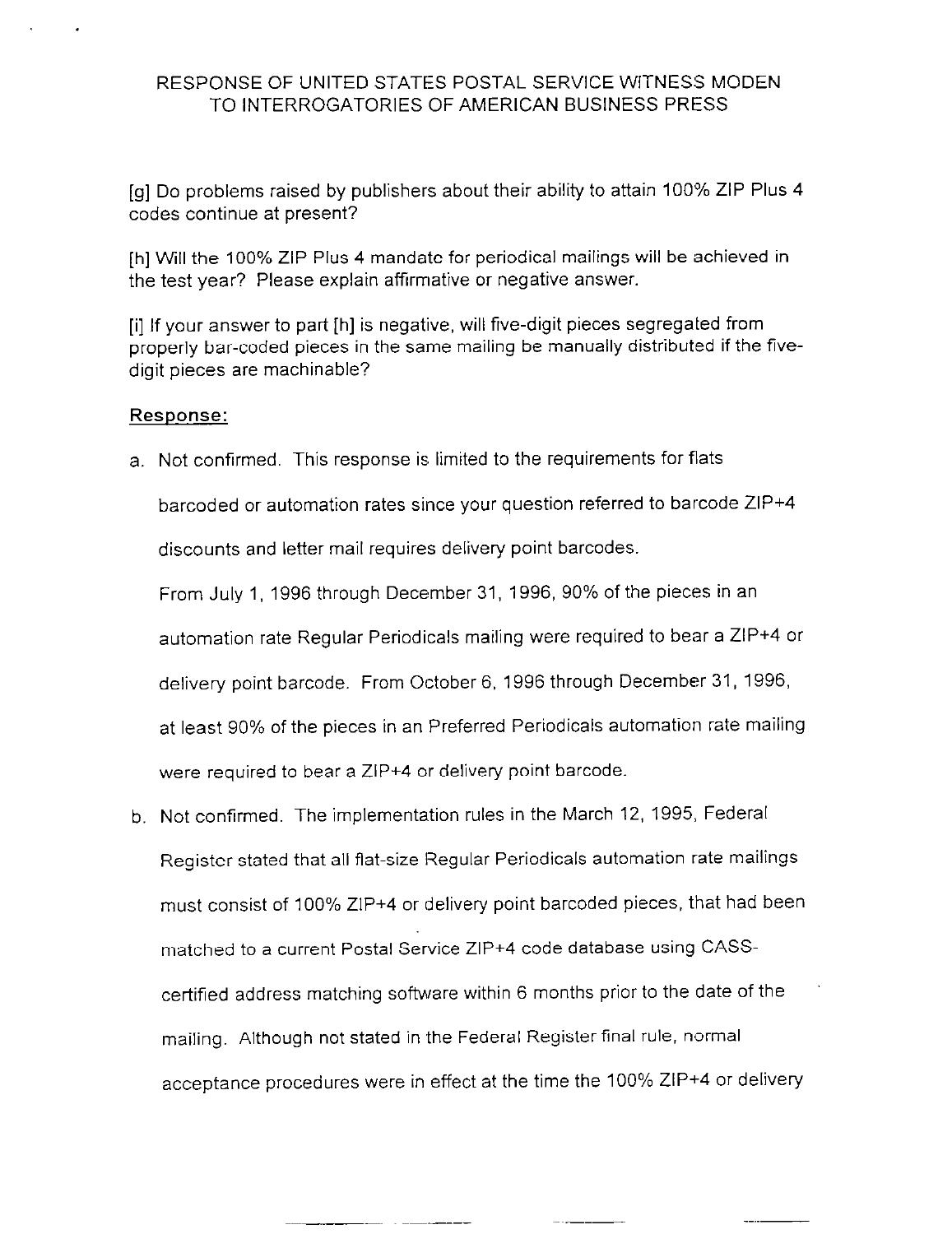[g] Do problems raised by publishers about their ability to attain 100% ZIP Plus 4 codes continue at present?

[h] will the 100% ZIP Plus 4 mandate for periodical mailings will be achieved in the test year? Please explain affirmative or negative answer.

[i] If your answer to part [h] is negative, will five-digit pieces segregated from properly bar-coded pieces in the same mailing be manually distributed if the fivedigit pieces are machinable?

#### Response:

a. Not confirmed. This response is limited to the requirements for flats

barcoded or automation rates since your question referred to barcode ZIP+4 discounts and letter mail requires delivery point barcodes

From July 1, 1996 through December 31, 1996, 90% of the pieces in an automation rate Regular Periodicals mailing were required to bear a ZIP+4 or delivery point barcode. From October 6, 1996 through December 31, 1996, at least 90% of the pieces in an Preferred Periodicals automation rate mailing were required to bear a ZIP+4 or delivery point barcode.

b. Not confirmed. The implementation rules in the March 12, 1995, Federal Register stated that all flat-size Regular Periodicals automation rate mailings must consist of 100% ZIP+4 or delivery point barcoded pieces, that had been matched to a current Postal Service ZIP+4 code database using CASScertified address matching software within 6 months prior to the date of the mailing. Although not stated in the Federal Register final rule, normal acceptance procedures were in effect at the time the 100% ZIP+4 or delivery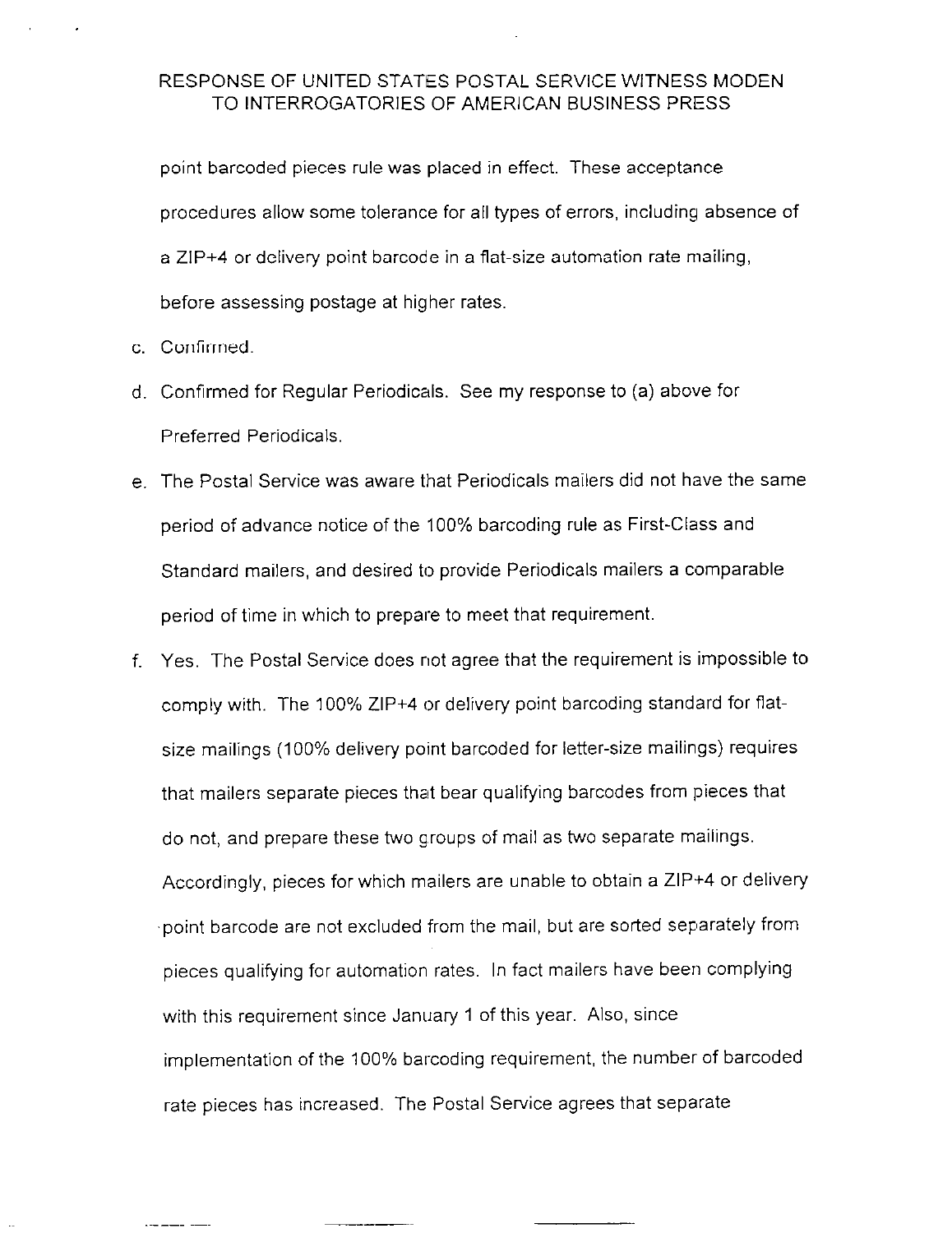point barcoded pieces rule was placed in effect. These acceptance procedures allow some tolerance for all types of errors, including absence of a ZIP+4 or delivery point barcode in a flat-size automation rate mailing, before assessing postage at higher rates.

- c. Confirmed.
- d. Confirmed for Regular Periodicals. See my response to (a) above for Preferred Periodicals.
- e. The Postal Service was aware that Periodicals mailers did not have the same period of advance notice of the 100% barcoding rule as First-Class and Standard mailers, and desired to provide Periodicals mailers a comparable period of time in which to prepare to meet that requirement.
- f. Yes. The Postal Service does not agree that the requirement is impossible to comply with. The 100% ZIP+4 or delivery point barcoding standard for flatsize mailings (100% delivery point barcoded for letter-size mailings) requires that mailers separate pieces that bear qualifying barcodes from pieces that do not, and prepare these two groups of mail as two separate mailings. Accordingly, pieces for which mailers are unable to obtain a ZIP+4 or delivery -point barcode are not excluded from the mail, but are sorted separately from pieces qualifying for automation rates. In fact mailers have been complying with this requirement since January 1 of this year. Also, since implementation of the 100% barcoding requirement, the number of barcoded rate pieces has increased. The Postal Service agrees that separate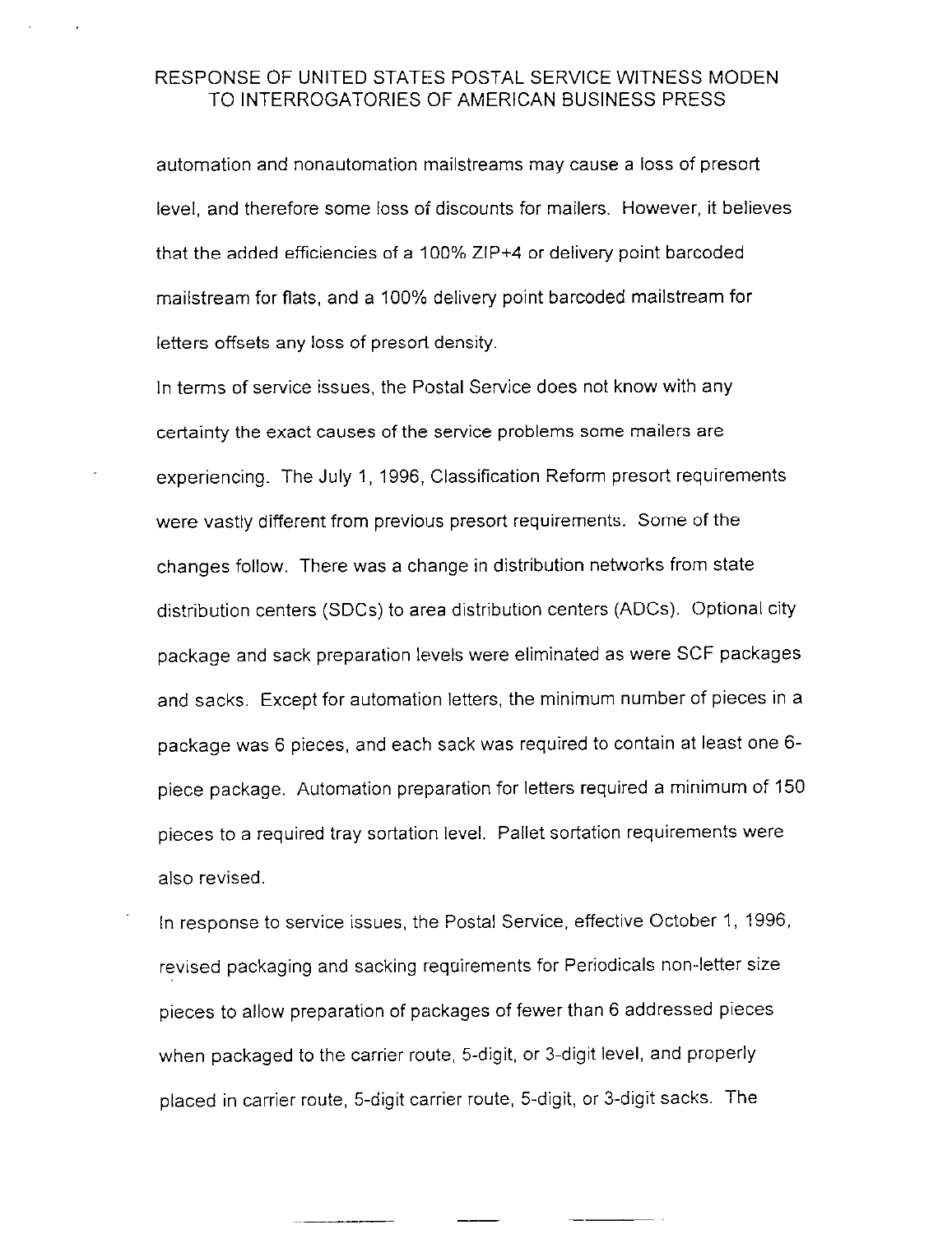automation and nonautomation mailstreams may cause a loss of presort level, and therefore some loss of discounts for mailers. However, it believes that the added efficiencies of a 100% ZIP+4 or delivery point barcoded mailstream for flats, and a 100% delivery point barcoded mailstream for letters offsets any loss of presort density.

In terms of service issues, the Postal Service does not know with any certainty the exact causes of the service problems some mailers are experiencing. The July 1, 1996, Classification Reform presort requirements were vastly different from previous presort requirements. Some of the changes follow. There was a change in distribution networks from state distribution centers (SDCs) to area distribution centers (ADCs). Optional city package and sack preparation levels were eliminated as were SCF packages and sacks. Except for automation letters, the minimum number of pieces in a package was 6 pieces, and each sack was required to contain at least one 6 piece package. Automation preparation for letters required a minimum of 150 pieces to a required tray sortation level. Pallet sortation requirements were also revised.

In response to service issues, the Postal Service, effective October 1, 1996, revised packaging and sacking requirements for Periodicals non-letter size pieces to allow preparation of packages of fewer than 6 addressed pieces when packaged to the carrier route, 5-digit, or 3-digit level, and properly placed in carrier route, 5-digit carrier route, 5-digit, or 3-digit sacks. The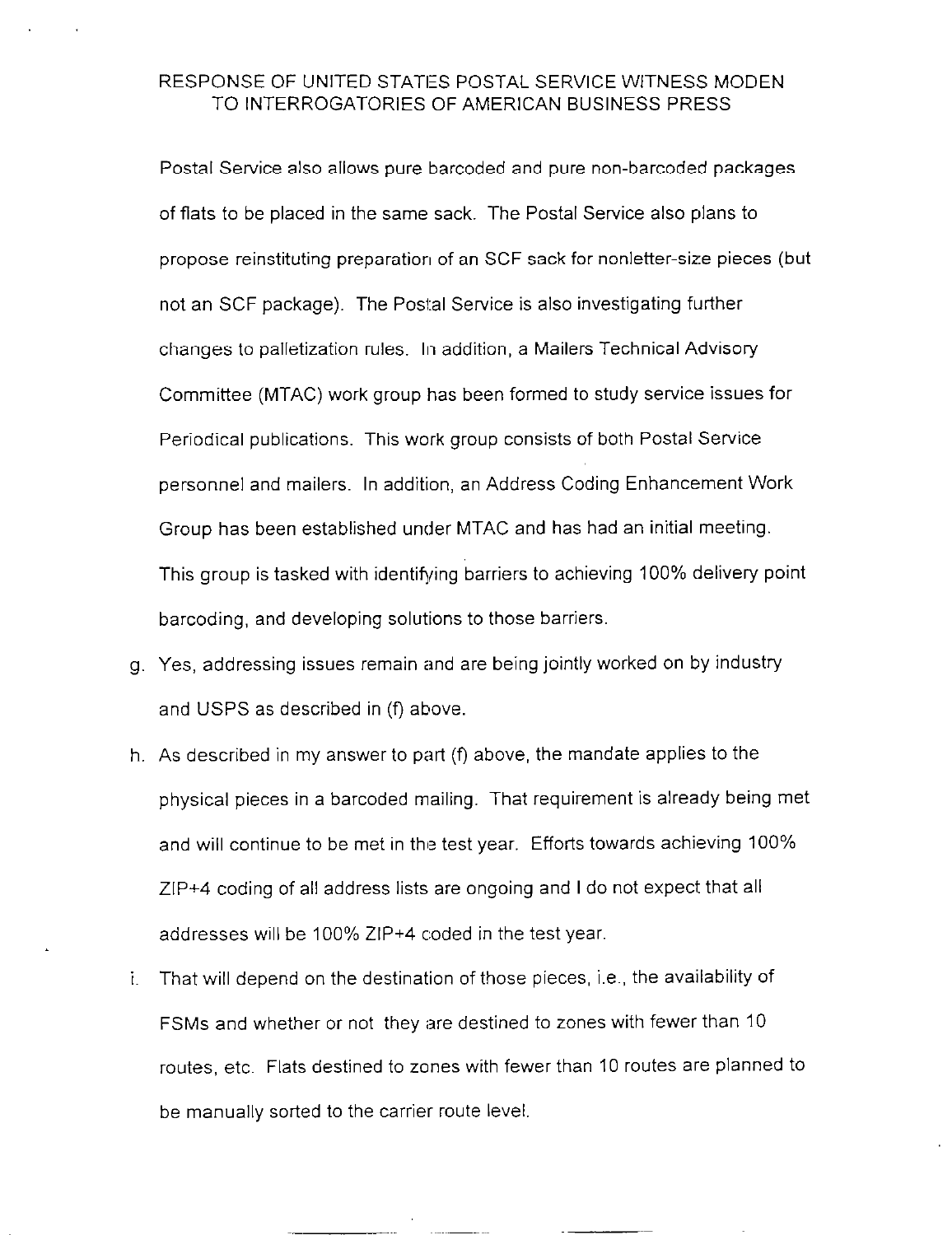Postal Service also allows pure barcoded and pure non-barcoded packages of flats to be placed in the same sack. The Postal Service also plans to propose reinstituting preparation of an SCF sack for nonletter-size pieces (but not an SCF package). The Postal Service is also investigating further changes to palletization rules. In addition, a Mailers Technical Advisory Committee (MTAC) work group has been formed to study service issues for Periodical publications. This work group consists of both Postal Service personnel and mailers. In addition, an Address Coding Enhancement Work Group has been established under MTAC and has had an initial meeting. This group is tasked with identifying barriers to achieving 100% delivery point barcoding, and developing solutions to those barriers.

- g. Yes, addressing issues remain and are being jointly worked on by industry and USPS as described in (f) above.
- h. As described in my answer to part  $(f)$  above, the mandate applies to the physical pieces in a barcoded mailing. That requirement is already being met and will continue to be met in the test year. Efforts towards achieving 100% ZIP+4 coding of all address lists are ongoing and I do not expect that all addresses will be 100% ZIP+4 coded in the test year.
- i. That will depend on the destination of those pieces, i.e., the availability of FSMs and whether or not they are destined to zones with fewer than 10 routes, etc. Flats destined to zones with fewer than 10 routes are planned to be manually sorted to the carrier route level.

 $\sim$  -  $\sim$  -  $\sim$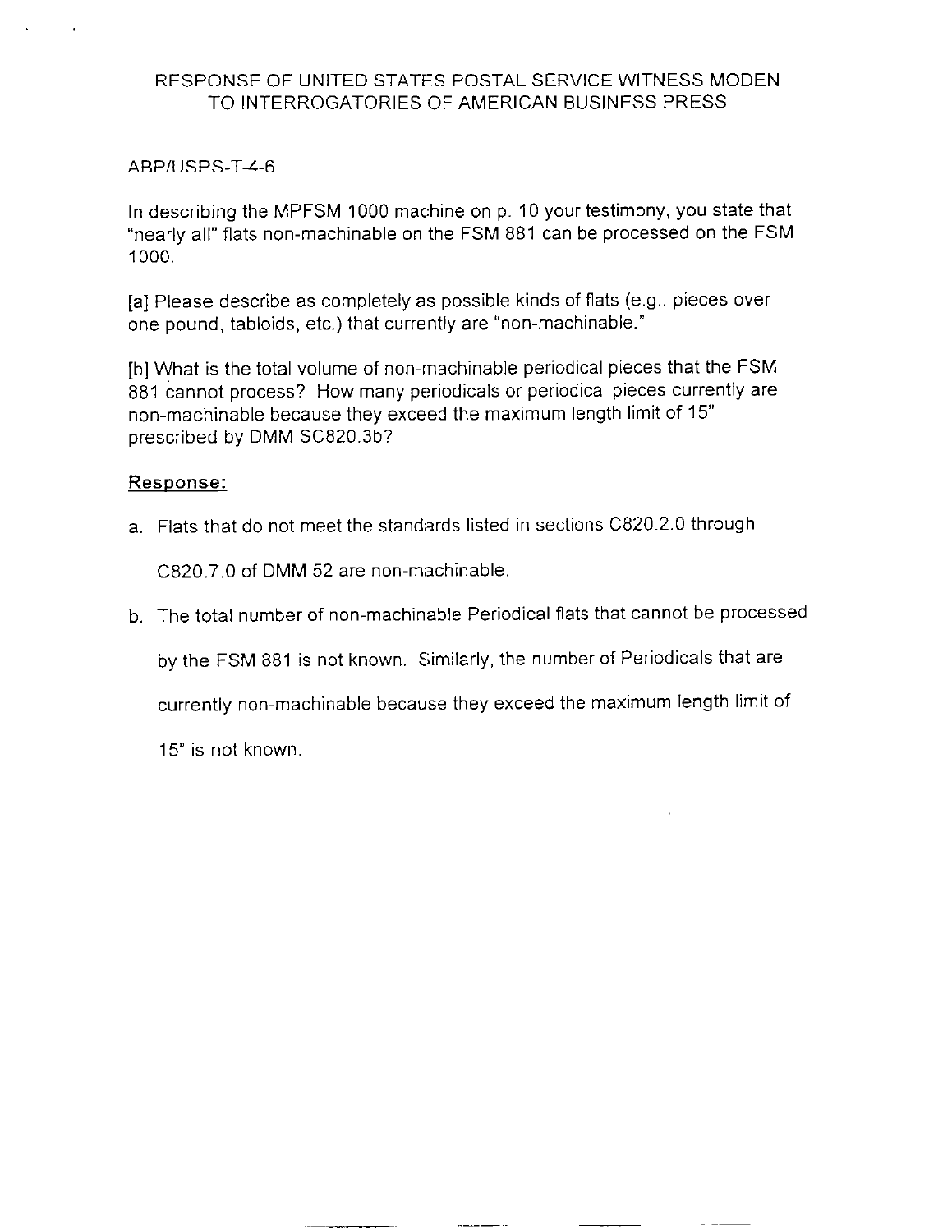#### ABPIUSPS-T-4-6

In describing the MPFSM 1000 machine on p. 10 your testimony, you state that "nearly all" flats non-machinable on the FSM 881 can be processed on the FSM 1000.

[a] Please describe as completely as possible kinds of flats (e.g., pieces over one pound, tabloids, etc.) that currently are "non-machinable."

[b] What is the total volume of non-machinable periodical pieces that the FSM 881 cannot process? How many periodicals or periodical pieces currently are non-machinable because they exceed the maximum length limit of 15" prescribed by DMM SC820.3b?

#### Response:

a. Flats that do not meet the standards listed in sections C820.2.0 through

C820.7.0 of DMM 52 are non-machinable.

b. The total number of non-machinable Periodical flats that cannot be processed

by the FSM 881 is not known. Similarly, the number of Periodicals that are

currently non-machinable because they exceed the maximum length limit of

15" is not known.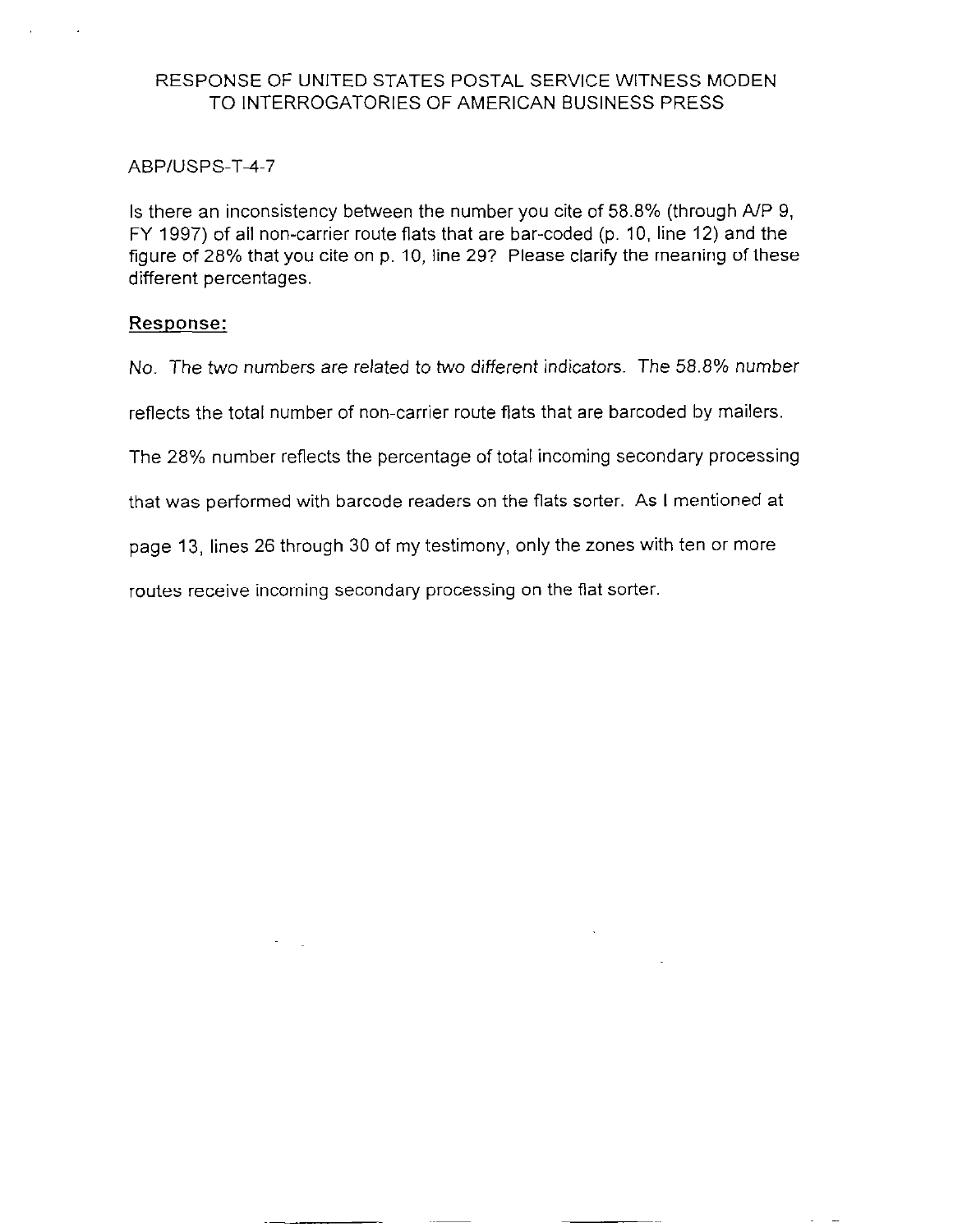#### ABPIUSPS-T-4-7

Is there an inconsistency between the number you cite of 58.8% (through A/P 9, FY 1997) of all non-carrier route flats that are bar-coded (p. 10, line 12) and the figure of 28% that you cite on p. 10, line 29? Please clarify the meaning of these different percentages.

#### Response:

No. The two numbers are related to two different indicators. The 58.8% number

reflects the total number of non-carrier route flats that are barcoded by mailers.

The 28% number reflects the percentage of total incoming secondary processing

that was performed with barcode readers on the flats sorter. As I mentioned at

page 13, lines 26 through 30 of my testimony, only the zones with ten or more

routes receive incoming secondary processing on the flat sorter.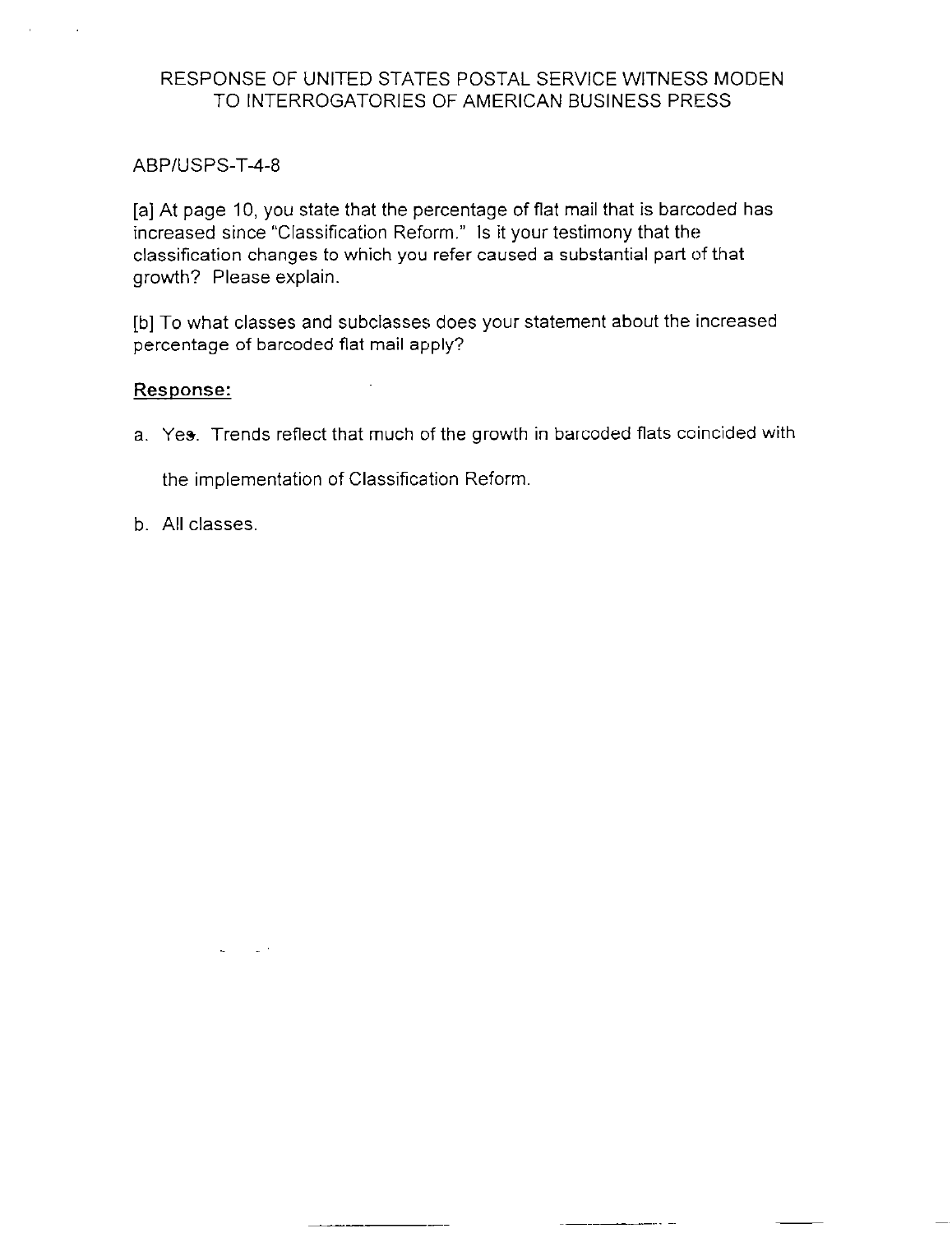## ABP/USPS-T-4-8

[a] At page 10, you state that the percentage of flat mail that is barcoded has increased since "Classification Reform." Is it your testimony that the classification changes to which you refer caused a substantial part of that growth? Please explain.

[b] To what classes and subclasses does your statement about the increased percentage of barcoded flat mail apply?

#### Response:

a. Yes. Trends reflect that much of the growth in barcoded flats coincided with

the implementation of Classification Reform.

b. All classes,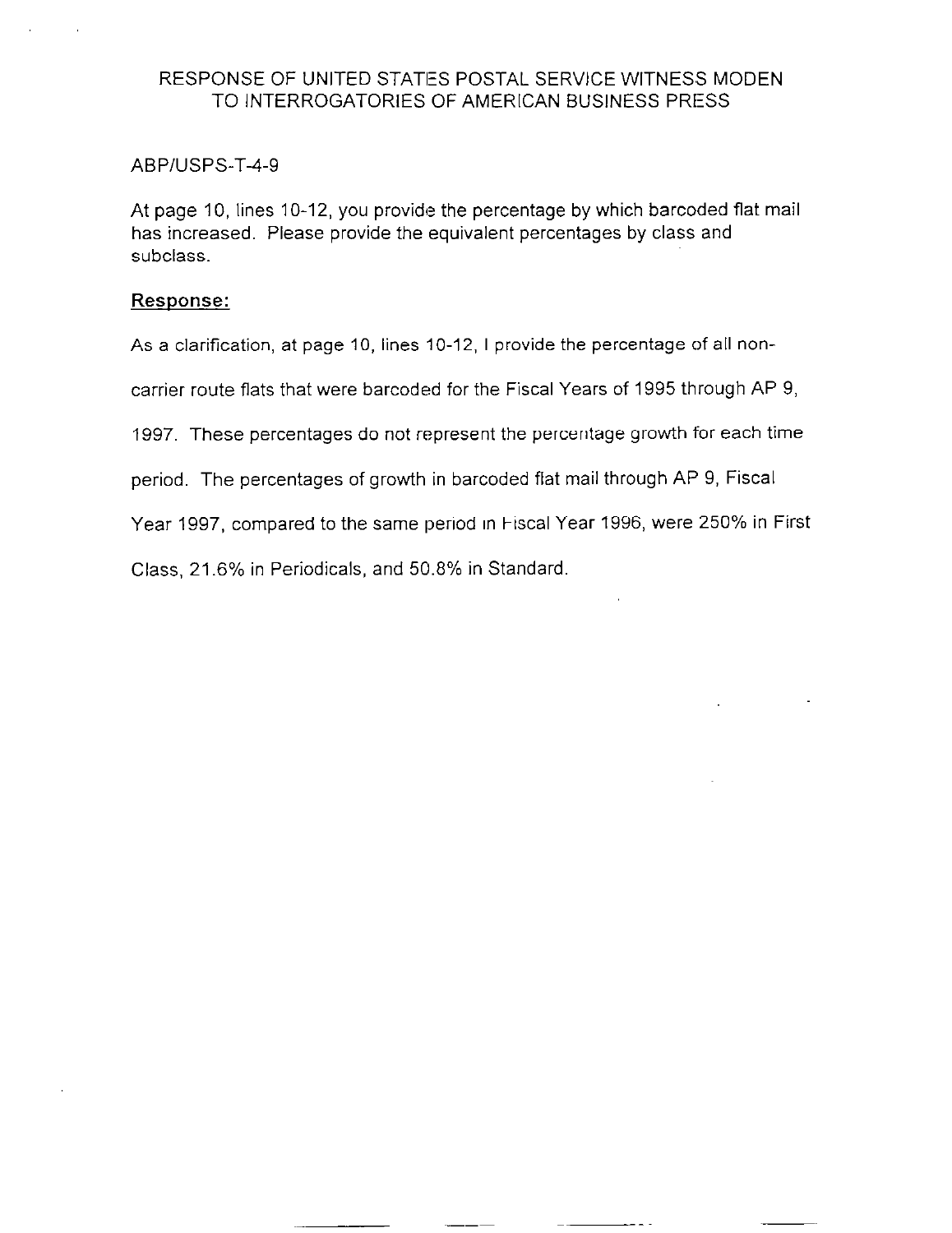#### ABP/USPS-T-4-9

At page 10, lines 10-12, you provide the percentage by which barcoded flat mail has increased. Please provide the equivalent percentages by class and subclass.

#### Response:

As a clarification, at page 10, lines 10-12, I provide the percentage of all non-

carrier route flats that were barcoded for the Fiscal Years of 1995 through AP 9,

1997. These percentages do not represent the percentage growth for each time

period. The percentages of growth in barcoded flat mail through AP 9, Fiscal

Year 1997, compared to the same period in Fiscal Year 1996, were 250% in First

Class, 21.6% in Periodicals, and 50.8% in Standard.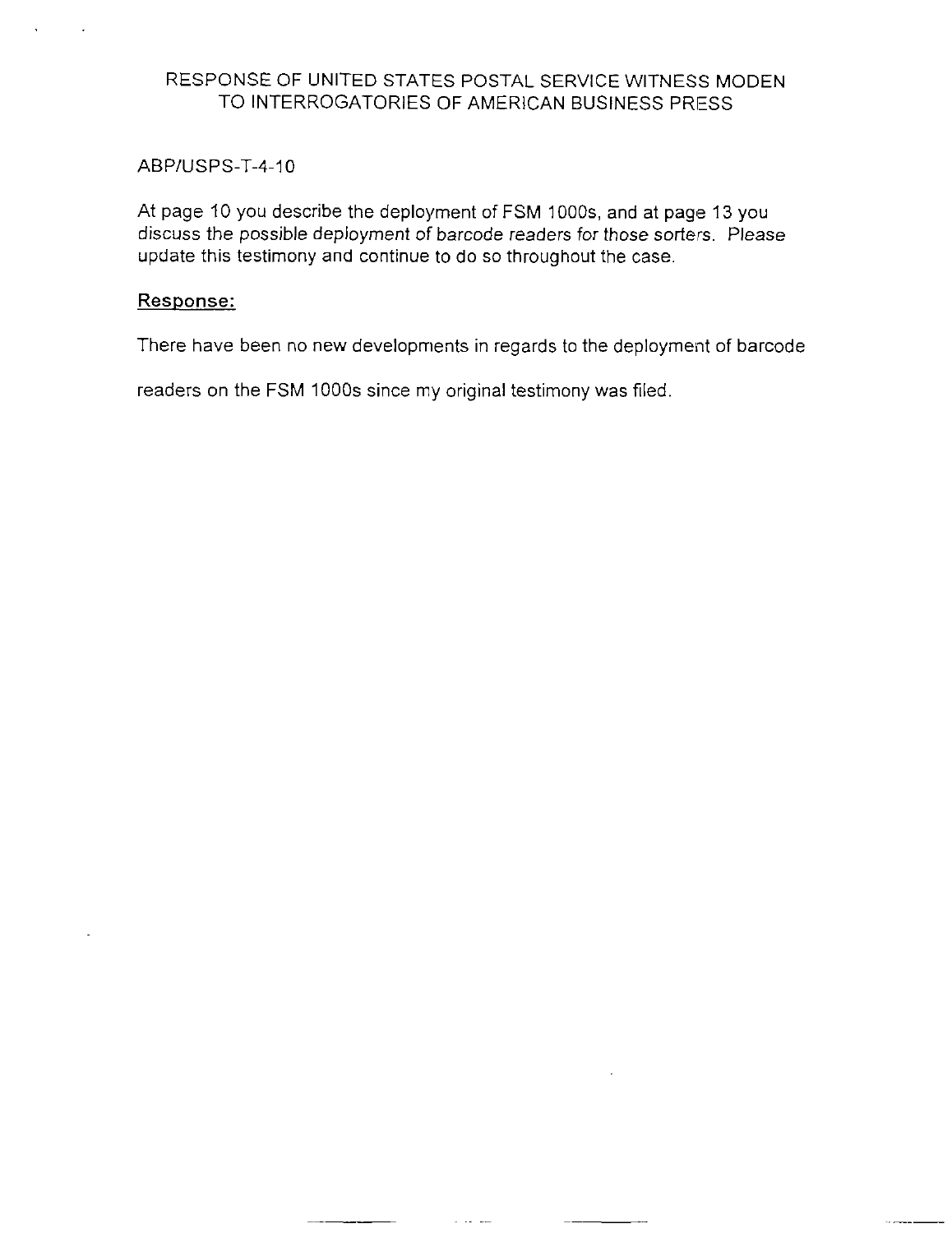#### ABPIUSPS-T-4-10

At page 10 you describe the deployment of FSM 1000s, and at page 13 you discuss the possible deployment of barcode readers for those sorters. Please update this testimony and continue to do so throughout the case.

## Response:

There have been no new developments in regards to the deployment of barcode

readers on the FSM 1000s since my original testimony was filed.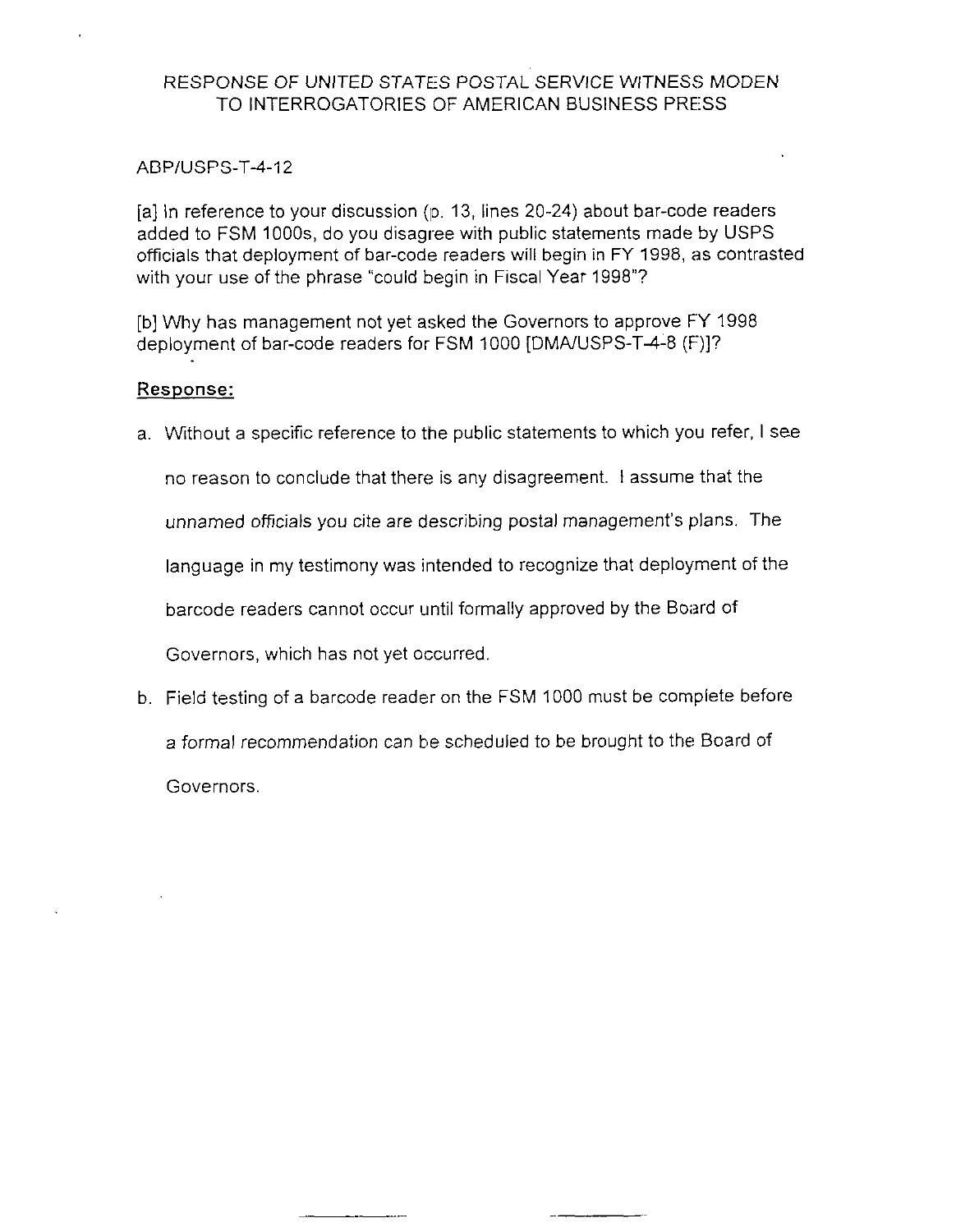#### ABP/USPS-T-4-12

[a] In reference to your discussion  $(p. 13,$  lines 20-24) about bar-code readers added to FSM IOOOs, do you disagree with public statements made by USPS officials that deployment of bar-code readers will begin in FY 1998, as contrasted with your use of the phrase "could begin in Fiscal Year 1998"?

[b] Why has management not yet asked the Governors to approve FY 1998 deployment of bar-code readers for FSM 1000 [DMA/USPS-T4-8 (F)]?

## Response:

a. Without a specific reference to the public statements to which you refer, I see

no reason to conclude that there is any disagreement. I assume that the

unnamed officials you cite are describing postal management's plans. The

language in my testimony was intended to recognize that deployment of the

barcode readers cannot occur until formally approved by the Board of

Governors, which has not yet occurred

b. Field testing of a barcode reader on the FSM 1000 must be complete before a formal recommendation can be scheduled to be brought to the Board of Governors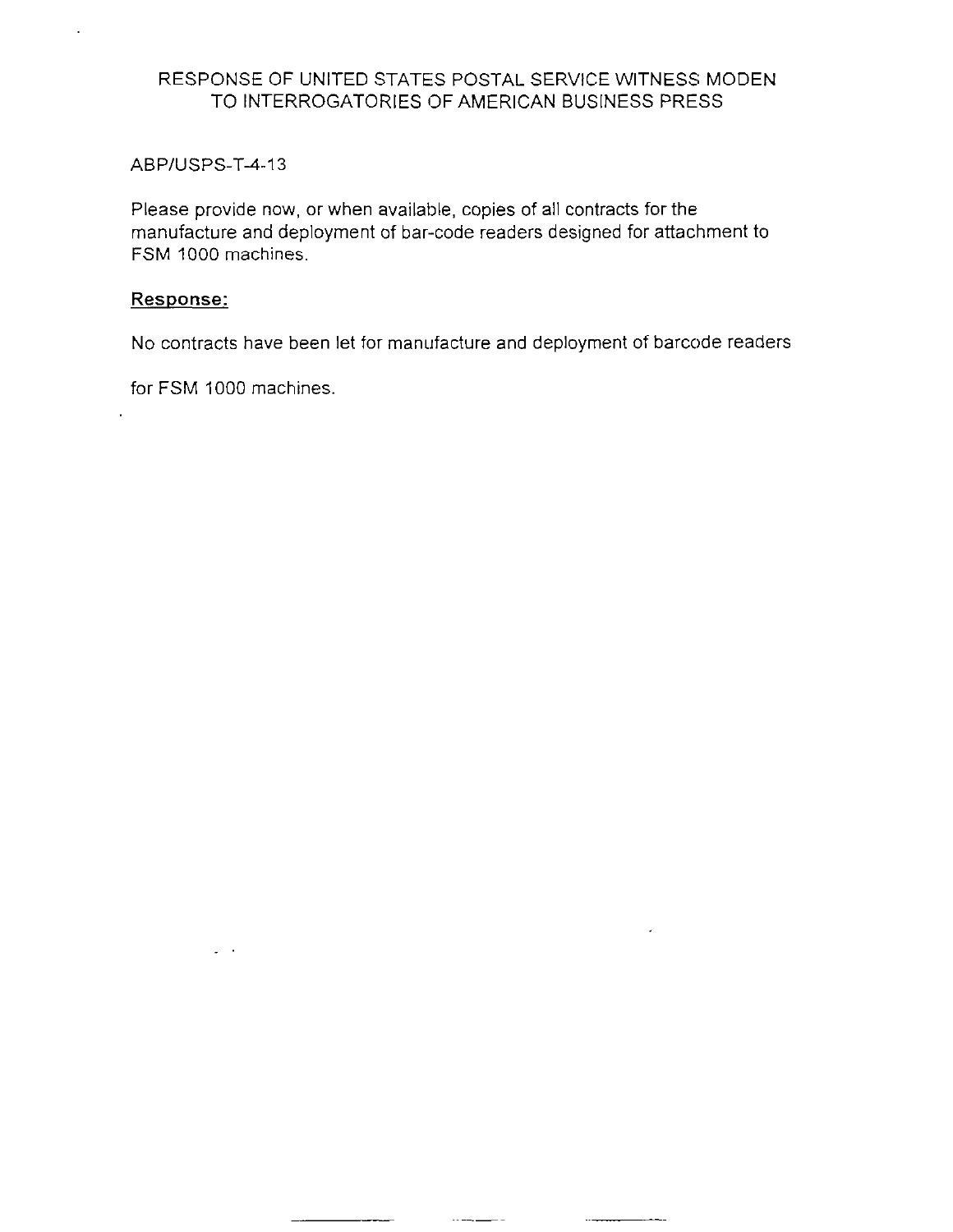#### ABPIUSPS-T-4-13

Please provide now, or when available, copies of all contracts for the manufacture and deployment of bar-code readers designed for attachment to FSM 1000 machines.

#### Response:

 $\cdot$ 

No contracts have been let for manufacture and deployment of barcode readers

 $\sim$   $-$ 

 $\overline{\phantom{a}}$ 

 $\overline{\phantom{a}}$ 

 $\overline{\phantom{a}}$ 

for FSM 1000 machines.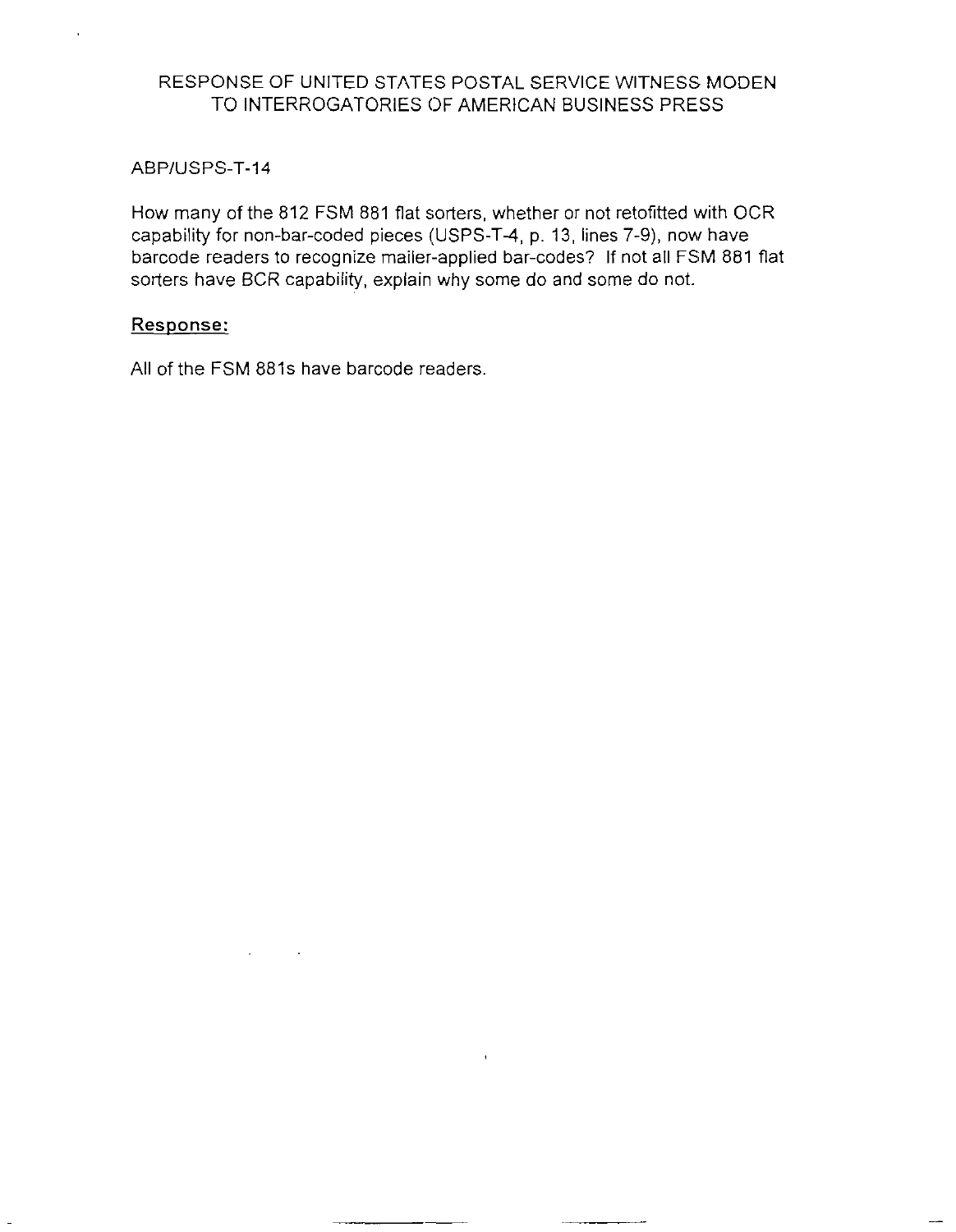ABP/USPS-T-14

How many of the 812 FSM 881 flat sorters, whether or not retofitted with OCR capability for non-bar-coded pieces (USPS-T-4, p. 13, lines 7-9), now have barcode readers to recognize mailer-applied bar-codes? If not all FSM 881 flat sorters have BCR capability, explain why some do and some do not.

## Response:

All of the FSM 881s have barcode readers.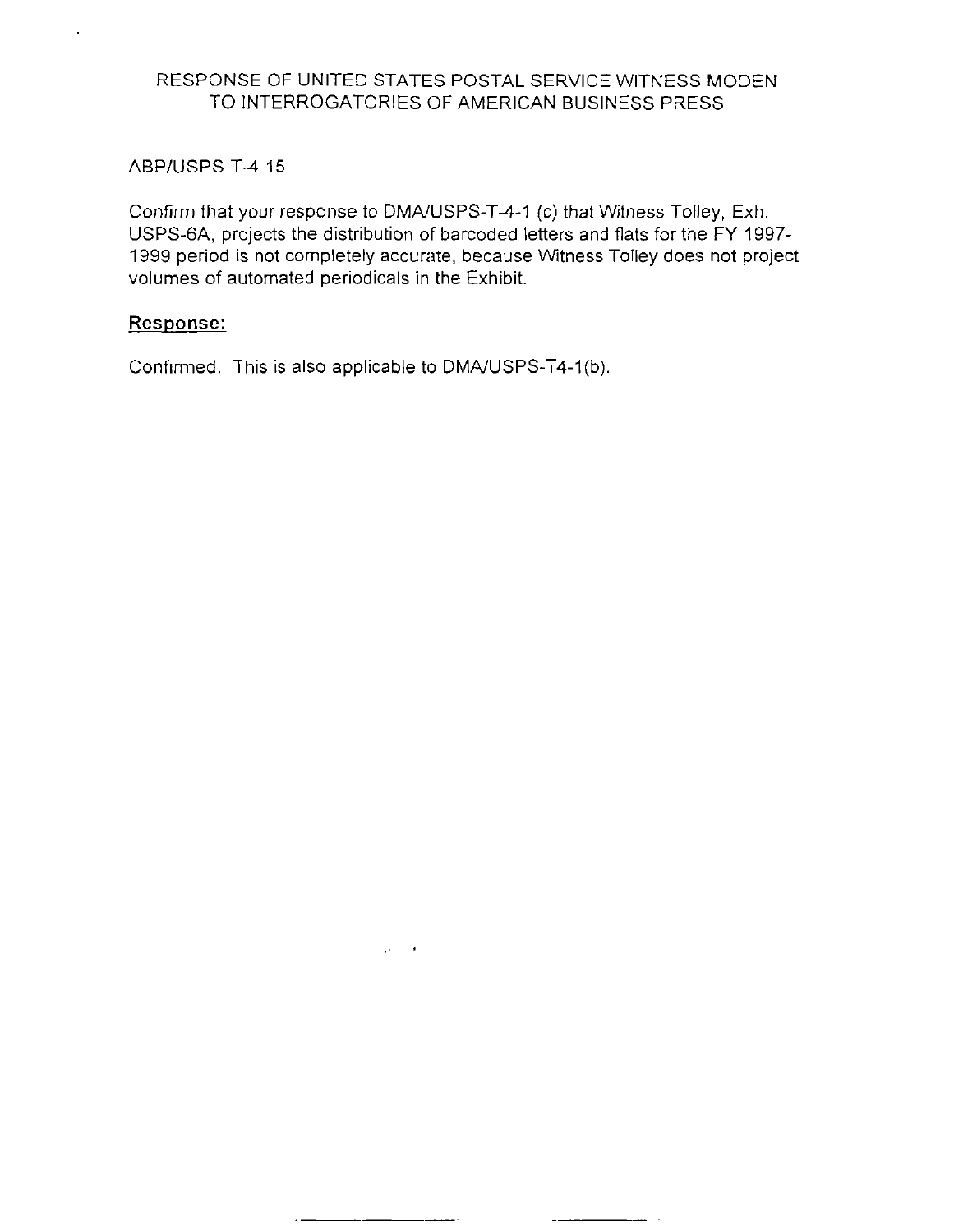ABP/USPS-T-4-15

Confirm that your response to DMA/USPS-T-4-1 (c) that Witness Tolley, Exh. USPS-GA, projects the distribution of barcoded letters and flats for the FY 1997- 1999 period is not completely accurate, because Witness Tolley does not project volumes of automated periodicals in the Exhibit.

## Response:

Confirmed. This is also applicable to DMA/USPS-T4-1(b).

 $\mathcal{L}_{\rm{max}}$  and  $\mathcal{L}_{\rm{max}}$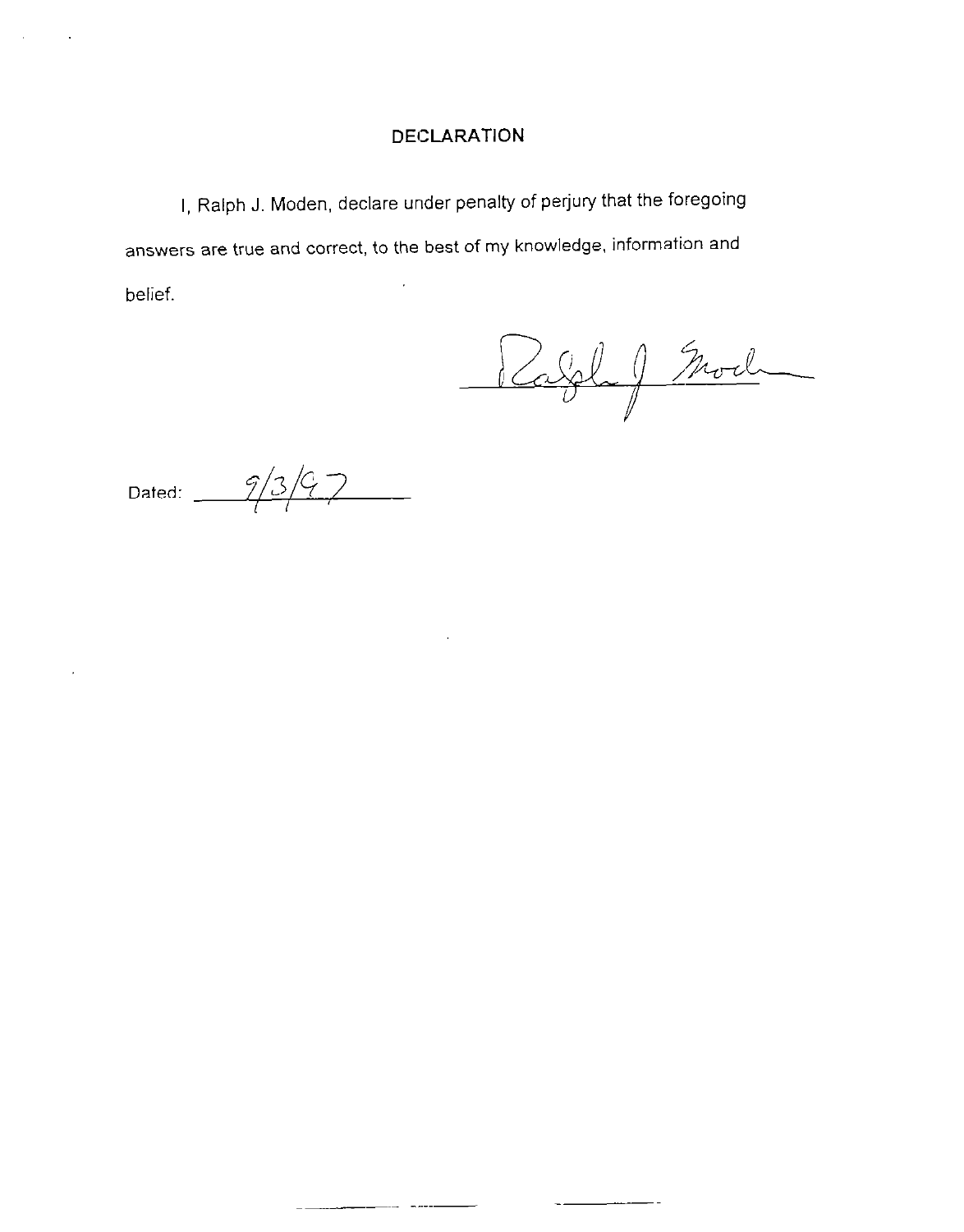I, Ralph J. Moden, declare under penalty of perjury that the foregoing answers are true and correct, to the best of my knowledge, information and l, belief.

Rabble J Mod

Dated:  $\frac{9}{3}/3$